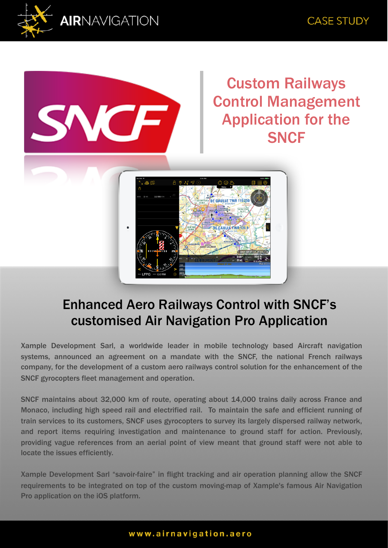



Custom Railways Control Management Application for the **SNCF** 



## Enhanced Aero Railways Control with SNCF's customised Air Navigation Pro Application

Xample Development Sarl, a worldwide leader in mobile technology based Aircraft navigation systems, announced an agreement on a mandate with the SNCF, the national French railways company, for the development of a custom aero railways control solution for the enhancement of the SNCF gyrocopters fleet management and operation.

SNCF maintains about 32,000 km of route, operating about 14,000 trains daily across France and Monaco, including high speed rail and electrified rail. To maintain the safe and efficient running of train services to its customers, SNCF uses gyrocopters to survey its largely dispersed railway network, and report items requiring investigation and maintenance to ground staff for action. Previously, providing vague references from an aerial point of view meant that ground staff were not able to locate the issues efficiently.

Xample Development Sarl "savoir-faire" in flight tracking and air operation planning allow the SNCF requirements to be integrated on top of the custom moving-map of Xample's famous Air Navigation Pro application on the iOS platform.

## www.airnavigation.aero